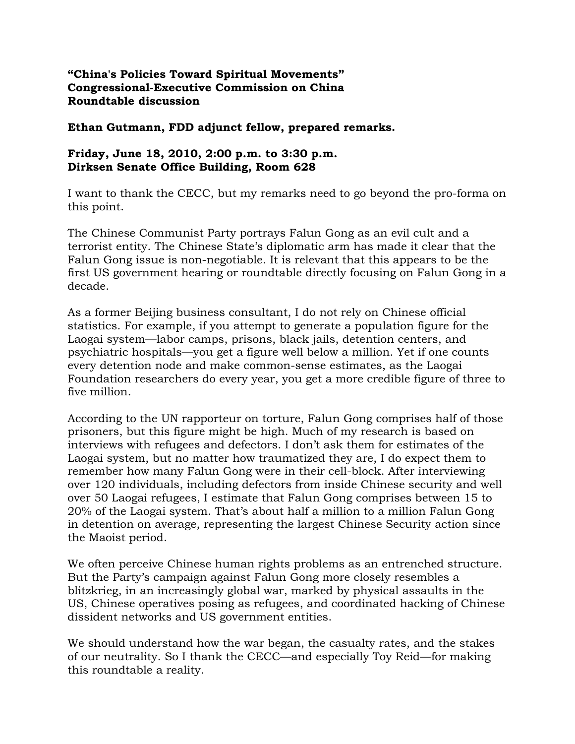## **"China's Policies Toward Spiritual Movements" Congressional-Executive Commission on China Roundtable discussion**

**Ethan Gutmann, FDD adjunct fellow, prepared remarks.**

## **Friday, June 18, 2010, 2:00 p.m. to 3:30 p.m. Dirksen Senate Office Building, Room 628**

I want to thank the CECC, but my remarks need to go beyond the pro-forma on this point.

The Chinese Communist Party portrays Falun Gong as an evil cult and a terrorist entity. The Chinese State's diplomatic arm has made it clear that the Falun Gong issue is non-negotiable. It is relevant that this appears to be the first US government hearing or roundtable directly focusing on Falun Gong in a decade.

As a former Beijing business consultant, I do not rely on Chinese official statistics. For example, if you attempt to generate a population figure for the Laogai system—labor camps, prisons, black jails, detention centers, and psychiatric hospitals—you get a figure well below a million. Yet if one counts every detention node and make common-sense estimates, as the Laogai Foundation researchers do every year, you get a more credible figure of three to five million.

According to the UN rapporteur on torture, Falun Gong comprises half of those prisoners, but this figure might be high. Much of my research is based on interviews with refugees and defectors. I don't ask them for estimates of the Laogai system, but no matter how traumatized they are, I do expect them to remember how many Falun Gong were in their cell-block. After interviewing over 120 individuals, including defectors from inside Chinese security and well over 50 Laogai refugees, I estimate that Falun Gong comprises between 15 to 20% of the Laogai system. That's about half a million to a million Falun Gong in detention on average, representing the largest Chinese Security action since the Maoist period.

We often perceive Chinese human rights problems as an entrenched structure. But the Party's campaign against Falun Gong more closely resembles a blitzkrieg, in an increasingly global war, marked by physical assaults in the US, Chinese operatives posing as refugees, and coordinated hacking of Chinese dissident networks and US government entities.

We should understand how the war began, the casualty rates, and the stakes of our neutrality. So I thank the CECC—and especially Toy Reid—for making this roundtable a reality.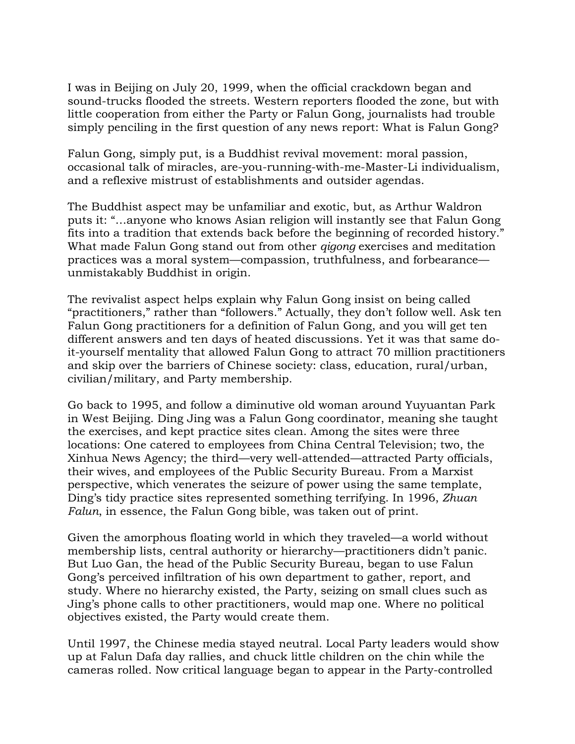I was in Beijing on July 20, 1999, when the official crackdown began and sound-trucks flooded the streets. Western reporters flooded the zone, but with little cooperation from either the Party or Falun Gong, journalists had trouble simply penciling in the first question of any news report: What is Falun Gong?

Falun Gong, simply put, is a Buddhist revival movement: moral passion, occasional talk of miracles, are-you-running-with-me-Master-Li individualism, and a reflexive mistrust of establishments and outsider agendas.

The Buddhist aspect may be unfamiliar and exotic, but, as Arthur Waldron puts it: "…anyone who knows Asian religion will instantly see that Falun Gong fits into a tradition that extends back before the beginning of recorded history." What made Falun Gong stand out from other *qigong* exercises and meditation practices was a moral system—compassion, truthfulness, and forbearance unmistakably Buddhist in origin.

The revivalist aspect helps explain why Falun Gong insist on being called "practitioners," rather than "followers." Actually, they don't follow well. Ask ten Falun Gong practitioners for a definition of Falun Gong, and you will get ten different answers and ten days of heated discussions. Yet it was that same doit-yourself mentality that allowed Falun Gong to attract 70 million practitioners and skip over the barriers of Chinese society: class, education, rural/urban, civilian/military, and Party membership.

Go back to 1995, and follow a diminutive old woman around Yuyuantan Park in West Beijing. Ding Jing was a Falun Gong coordinator, meaning she taught the exercises, and kept practice sites clean. Among the sites were three locations: One catered to employees from China Central Television; two, the Xinhua News Agency; the third—very well-attended—attracted Party officials, their wives, and employees of the Public Security Bureau. From a Marxist perspective, which venerates the seizure of power using the same template, Ding's tidy practice sites represented something terrifying. In 1996, *Zhuan Falun*, in essence, the Falun Gong bible, was taken out of print.

Given the amorphous floating world in which they traveled—a world without membership lists, central authority or hierarchy—practitioners didn't panic. But Luo Gan, the head of the Public Security Bureau, began to use Falun Gong's perceived infiltration of his own department to gather, report, and study. Where no hierarchy existed, the Party, seizing on small clues such as Jing's phone calls to other practitioners, would map one. Where no political objectives existed, the Party would create them.

Until 1997, the Chinese media stayed neutral. Local Party leaders would show up at Falun Dafa day rallies, and chuck little children on the chin while the cameras rolled. Now critical language began to appear in the Party-controlled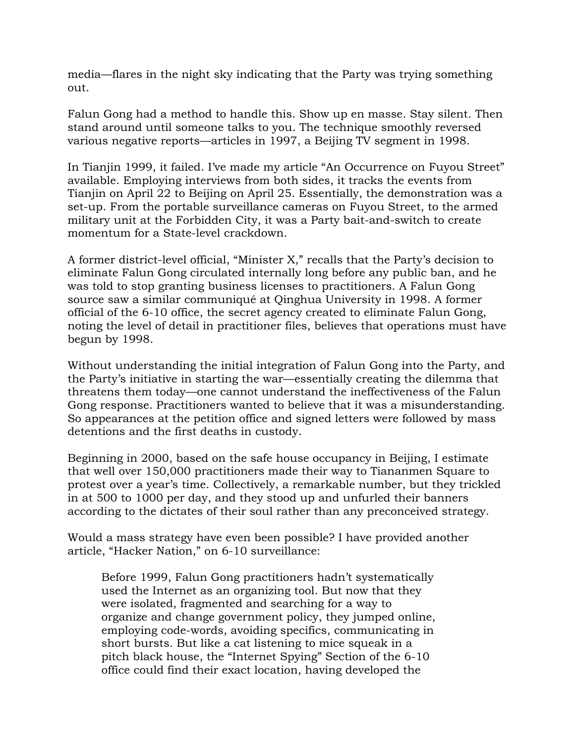media—flares in the night sky indicating that the Party was trying something out.

Falun Gong had a method to handle this. Show up en masse. Stay silent. Then stand around until someone talks to you. The technique smoothly reversed various negative reports—articles in 1997, a Beijing TV segment in 1998.

In Tianjin 1999, it failed. I've made my article "An Occurrence on Fuyou Street" available. Employing interviews from both sides, it tracks the events from Tianjin on April 22 to Beijing on April 25. Essentially, the demonstration was a set-up. From the portable surveillance cameras on Fuyou Street, to the armed military unit at the Forbidden City, it was a Party bait-and-switch to create momentum for a State-level crackdown.

A former district-level official, "Minister X," recalls that the Party's decision to eliminate Falun Gong circulated internally long before any public ban, and he was told to stop granting business licenses to practitioners. A Falun Gong source saw a similar communiqué at Qinghua University in 1998. A former official of the 6-10 office, the secret agency created to eliminate Falun Gong, noting the level of detail in practitioner files, believes that operations must have begun by 1998.

Without understanding the initial integration of Falun Gong into the Party, and the Party's initiative in starting the war—essentially creating the dilemma that threatens them today—one cannot understand the ineffectiveness of the Falun Gong response. Practitioners wanted to believe that it was a misunderstanding. So appearances at the petition office and signed letters were followed by mass detentions and the first deaths in custody.

Beginning in 2000, based on the safe house occupancy in Beijing, I estimate that well over 150,000 practitioners made their way to Tiananmen Square to protest over a year's time. Collectively, a remarkable number, but they trickled in at 500 to 1000 per day, and they stood up and unfurled their banners according to the dictates of their soul rather than any preconceived strategy.

Would a mass strategy have even been possible? I have provided another article, "Hacker Nation," on 6-10 surveillance:

Before 1999, Falun Gong practitioners hadn't systematically used the Internet as an organizing tool. But now that they were isolated, fragmented and searching for a way to organize and change government policy, they jumped online, employing code-words, avoiding specifics, communicating in short bursts. But like a cat listening to mice squeak in a pitch black house, the "Internet Spying" Section of the 6-10 office could find their exact location, having developed the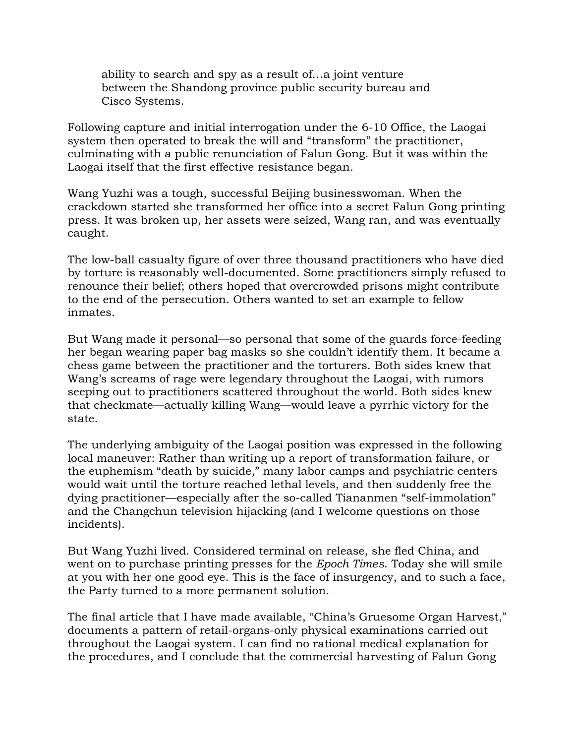ability to search and spy as a result of…a joint venture between the Shandong province public security bureau and Cisco Systems.

Following capture and initial interrogation under the 6-10 Office, the Laogai system then operated to break the will and "transform" the practitioner, culminating with a public renunciation of Falun Gong. But it was within the Laogai itself that the first effective resistance began.

Wang Yuzhi was a tough, successful Beijing businesswoman. When the crackdown started she transformed her office into a secret Falun Gong printing press. It was broken up, her assets were seized, Wang ran, and was eventually caught.

The low-ball casualty figure of over three thousand practitioners who have died by torture is reasonably well-documented. Some practitioners simply refused to renounce their belief; others hoped that overcrowded prisons might contribute to the end of the persecution. Others wanted to set an example to fellow inmates.

But Wang made it personal—so personal that some of the guards force-feeding her began wearing paper bag masks so she couldn't identify them. It became a chess game between the practitioner and the torturers. Both sides knew that Wang's screams of rage were legendary throughout the Laogai, with rumors seeping out to practitioners scattered throughout the world. Both sides knew that checkmate—actually killing Wang—would leave a pyrrhic victory for the state.

The underlying ambiguity of the Laogai position was expressed in the following local maneuver: Rather than writing up a report of transformation failure, or the euphemism "death by suicide," many labor camps and psychiatric centers would wait until the torture reached lethal levels, and then suddenly free the dying practitioner—especially after the so-called Tiananmen "self-immolation" and the Changchun television hijacking (and I welcome questions on those incidents).

But Wang Yuzhi lived. Considered terminal on release, she fled China, and went on to purchase printing presses for the *Epoch Times*. Today she will smile at you with her one good eye. This is the face of insurgency, and to such a face, the Party turned to a more permanent solution.

The final article that I have made available, "China's Gruesome Organ Harvest," documents a pattern of retail-organs-only physical examinations carried out throughout the Laogai system. I can find no rational medical explanation for the procedures, and I conclude that the commercial harvesting of Falun Gong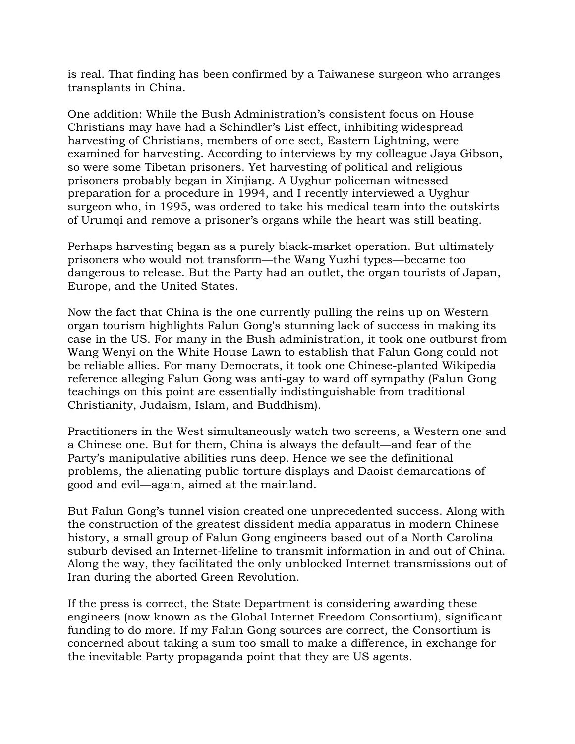is real. That finding has been confirmed by a Taiwanese surgeon who arranges transplants in China.

One addition: While the Bush Administration's consistent focus on House Christians may have had a Schindler's List effect, inhibiting widespread harvesting of Christians, members of one sect, Eastern Lightning, were examined for harvesting. According to interviews by my colleague Jaya Gibson, so were some Tibetan prisoners. Yet harvesting of political and religious prisoners probably began in Xinjiang. A Uyghur policeman witnessed preparation for a procedure in 1994, and I recently interviewed a Uyghur surgeon who, in 1995, was ordered to take his medical team into the outskirts of Urumqi and remove a prisoner's organs while the heart was still beating.

Perhaps harvesting began as a purely black-market operation. But ultimately prisoners who would not transform—the Wang Yuzhi types—became too dangerous to release. But the Party had an outlet, the organ tourists of Japan, Europe, and the United States.

Now the fact that China is the one currently pulling the reins up on Western organ tourism highlights Falun Gong's stunning lack of success in making its case in the US. For many in the Bush administration, it took one outburst from Wang Wenyi on the White House Lawn to establish that Falun Gong could not be reliable allies. For many Democrats, it took one Chinese-planted Wikipedia reference alleging Falun Gong was anti-gay to ward off sympathy (Falun Gong teachings on this point are essentially indistinguishable from traditional Christianity, Judaism, Islam, and Buddhism).

Practitioners in the West simultaneously watch two screens, a Western one and a Chinese one. But for them, China is always the default—and fear of the Party's manipulative abilities runs deep. Hence we see the definitional problems, the alienating public torture displays and Daoist demarcations of good and evil—again, aimed at the mainland.

But Falun Gong's tunnel vision created one unprecedented success. Along with the construction of the greatest dissident media apparatus in modern Chinese history, a small group of Falun Gong engineers based out of a North Carolina suburb devised an Internet-lifeline to transmit information in and out of China. Along the way, they facilitated the only unblocked Internet transmissions out of Iran during the aborted Green Revolution.

If the press is correct, the State Department is considering awarding these engineers (now known as the Global Internet Freedom Consortium), significant funding to do more. If my Falun Gong sources are correct, the Consortium is concerned about taking a sum too small to make a difference, in exchange for the inevitable Party propaganda point that they are US agents.